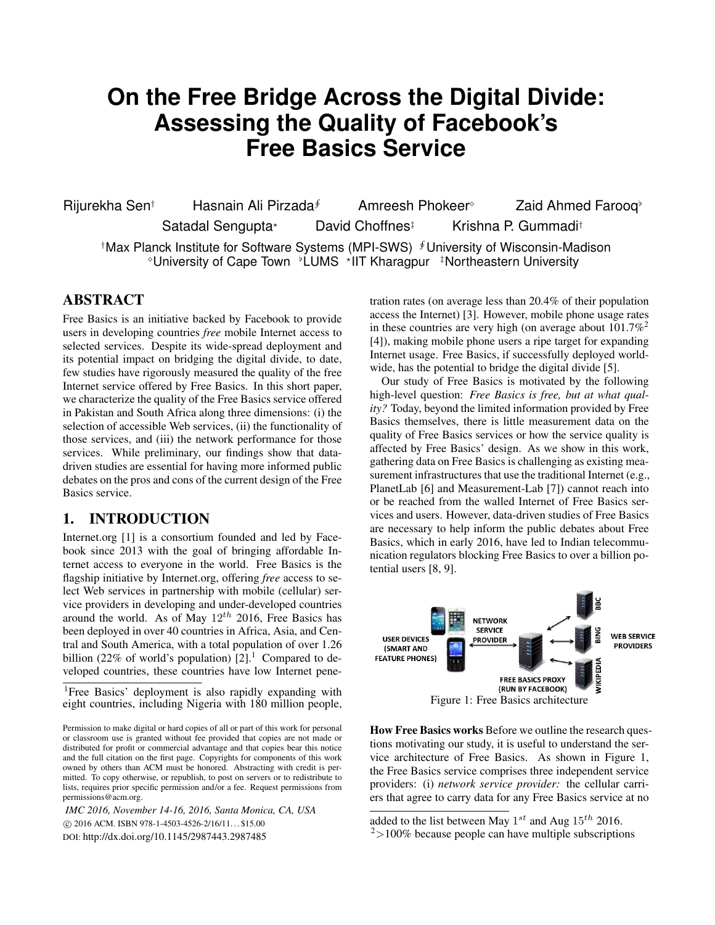# **On the Free Bridge Across the Digital Divide: Assessing the Quality of Facebook's Free Basics Service**

Rijurekha Sen†  $\qquad$  Hasnain Ali Pirzada $^{\oint}$ Amreesh Phokeer<sup>®</sup> Zaid Ahmed Farooq<sup>®</sup> Satadal Sengupta<sup>\*</sup> David Choffnes<sup>‡</sup> Krishna P. Gummadi<sup>†</sup> †Max Planck Institute for Software Systems (MPI-SWS) ∮University of Wisconsin-Madison °University of Cape Town <sup>→</sup>LUMS \*IIT Kharagpur ‡Northeastern University

### ABSTRACT

Free Basics is an initiative backed by Facebook to provide users in developing countries *free* mobile Internet access to selected services. Despite its wide-spread deployment and its potential impact on bridging the digital divide, to date, few studies have rigorously measured the quality of the free Internet service offered by Free Basics. In this short paper, we characterize the quality of the Free Basics service offered in Pakistan and South Africa along three dimensions: (i) the selection of accessible Web services, (ii) the functionality of those services, and (iii) the network performance for those services. While preliminary, our findings show that datadriven studies are essential for having more informed public debates on the pros and cons of the current design of the Free Basics service.

# 1. INTRODUCTION

Internet.org [1] is a consortium founded and led by Facebook since 2013 with the goal of bringing affordable Internet access to everyone in the world. Free Basics is the flagship initiative by Internet.org, offering *free* access to select Web services in partnership with mobile (cellular) service providers in developing and under-developed countries around the world. As of May  $12^{th}$  2016, Free Basics has been deployed in over 40 countries in Africa, Asia, and Central and South America, with a total population of over 1.26 billion (22% of world's population)  $[2]$ <sup>1</sup>. Compared to developed countries, these countries have low Internet pene-

<sup>1</sup>Free Basics' deployment is also rapidly expanding with eight countries, including Nigeria with 180 million people,

*IMC 2016, November 14-16, 2016, Santa Monica, CA, USA* c 2016 ACM. ISBN 978-1-4503-4526-2/16/11. . . \$15.00 DOI: http://dx.doi.org/10.1145/2987443.2987485

tration rates (on average less than 20.4% of their population access the Internet) [3]. However, mobile phone usage rates in these countries are very high (on average about  $101.7\%$ <sup>2</sup> [4]), making mobile phone users a ripe target for expanding Internet usage. Free Basics, if successfully deployed worldwide, has the potential to bridge the digital divide [5].

Our study of Free Basics is motivated by the following high-level question: *Free Basics is free, but at what quality?* Today, beyond the limited information provided by Free Basics themselves, there is little measurement data on the quality of Free Basics services or how the service quality is affected by Free Basics' design. As we show in this work, gathering data on Free Basics is challenging as existing measurement infrastructures that use the traditional Internet (e.g., PlanetLab [6] and Measurement-Lab [7]) cannot reach into or be reached from the walled Internet of Free Basics services and users. However, data-driven studies of Free Basics are necessary to help inform the public debates about Free Basics, which in early 2016, have led to Indian telecommunication regulators blocking Free Basics to over a billion potential users [8, 9].



How Free Basics works Before we outline the research questions motivating our study, it is useful to understand the service architecture of Free Basics. As shown in Figure 1, the Free Basics service comprises three independent service providers: (i) *network service provider:* the cellular carriers that agree to carry data for any Free Basics service at no

Permission to make digital or hard copies of all or part of this work for personal or classroom use is granted without fee provided that copies are not made or distributed for profit or commercial advantage and that copies bear this notice and the full citation on the first page. Copyrights for components of this work owned by others than ACM must be honored. Abstracting with credit is permitted. To copy otherwise, or republish, to post on servers or to redistribute to lists, requires prior specific permission and/or a fee. Request permissions from permissions@acm.org.

added to the list between May  $1^{st}$  and Aug  $15^{th}$  2016.  $2$ >100% because people can have multiple subscriptions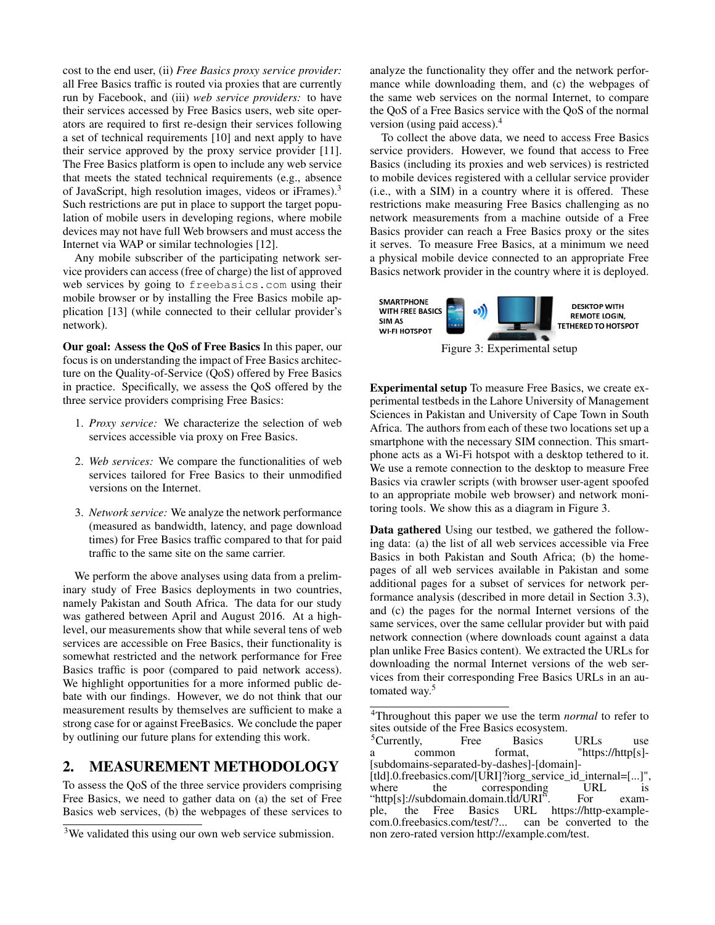cost to the end user, (ii) *Free Basics proxy service provider:* all Free Basics traffic is routed via proxies that are currently run by Facebook, and (iii) *web service providers:* to have their services accessed by Free Basics users, web site operators are required to first re-design their services following a set of technical requirements [10] and next apply to have their service approved by the proxy service provider [11]. The Free Basics platform is open to include any web service that meets the stated technical requirements (e.g., absence of JavaScript, high resolution images, videos or iFrames).<sup>3</sup> Such restrictions are put in place to support the target population of mobile users in developing regions, where mobile devices may not have full Web browsers and must access the Internet via WAP or similar technologies [12].

Any mobile subscriber of the participating network service providers can access (free of charge) the list of approved web services by going to freebasics.com using their mobile browser or by installing the Free Basics mobile application [13] (while connected to their cellular provider's network).

Our goal: Assess the QoS of Free Basics In this paper, our focus is on understanding the impact of Free Basics architecture on the Quality-of-Service (QoS) offered by Free Basics in practice. Specifically, we assess the QoS offered by the three service providers comprising Free Basics:

- 1. *Proxy service:* We characterize the selection of web services accessible via proxy on Free Basics.
- 2. *Web services:* We compare the functionalities of web services tailored for Free Basics to their unmodified versions on the Internet.
- 3. *Network service:* We analyze the network performance (measured as bandwidth, latency, and page download times) for Free Basics traffic compared to that for paid traffic to the same site on the same carrier.

We perform the above analyses using data from a preliminary study of Free Basics deployments in two countries, namely Pakistan and South Africa. The data for our study was gathered between April and August 2016. At a highlevel, our measurements show that while several tens of web services are accessible on Free Basics, their functionality is somewhat restricted and the network performance for Free Basics traffic is poor (compared to paid network access). We highlight opportunities for a more informed public debate with our findings. However, we do not think that our measurement results by themselves are sufficient to make a strong case for or against FreeBasics. We conclude the paper by outlining our future plans for extending this work.

# 2. MEASUREMENT METHODOLOGY

To assess the QoS of the three service providers comprising Free Basics, we need to gather data on (a) the set of Free Basics web services, (b) the webpages of these services to analyze the functionality they offer and the network performance while downloading them, and (c) the webpages of the same web services on the normal Internet, to compare the QoS of a Free Basics service with the QoS of the normal version (using paid access).<sup>4</sup>

To collect the above data, we need to access Free Basics service providers. However, we found that access to Free Basics (including its proxies and web services) is restricted to mobile devices registered with a cellular service provider (i.e., with a SIM) in a country where it is offered. These restrictions make measuring Free Basics challenging as no network measurements from a machine outside of a Free Basics provider can reach a Free Basics proxy or the sites it serves. To measure Free Basics, at a minimum we need a physical mobile device connected to an appropriate Free Basics network provider in the country where it is deployed.



Figure 3: Experimental setup

Experimental setup To measure Free Basics, we create experimental testbeds in the Lahore University of Management Sciences in Pakistan and University of Cape Town in South Africa. The authors from each of these two locations set up a smartphone with the necessary SIM connection. This smartphone acts as a Wi-Fi hotspot with a desktop tethered to it. We use a remote connection to the desktop to measure Free Basics via crawler scripts (with browser user-agent spoofed to an appropriate mobile web browser) and network monitoring tools. We show this as a diagram in Figure 3.

Data gathered Using our testbed, we gathered the following data: (a) the list of all web services accessible via Free Basics in both Pakistan and South Africa; (b) the homepages of all web services available in Pakistan and some additional pages for a subset of services for network performance analysis (described in more detail in Section 3.3), and (c) the pages for the normal Internet versions of the same services, over the same cellular provider but with paid network connection (where downloads count against a data plan unlike Free Basics content). We extracted the URLs for downloading the normal Internet versions of the web services from their corresponding Free Basics URLs in an automated way.<sup>5</sup>

<sup>&</sup>lt;sup>3</sup>We validated this using our own web service submission.

<sup>4</sup>Throughout this paper we use the term *normal* to refer to sites outside of the Free Basics ecosystem.

 ${}^{5}$ Currently, Free Basics URLs use<br>a common format, "https://https: a common format, "https://http[s]- [subdomains-separated-by-dashes]-[domain]- [tld].0.freebasics.com/[URI]?iorg\_service\_id\_internal=[...]",<br>where the corresponding URL is where the corresponding URL is "http[s]://subdomain.domain.tld/URI". For example, the Free Basics URL https://http-example-<br>com.0.freebasics.com/test/?... can be converted to the com.0.freebasics.com/test/?... non zero-rated version http://example.com/test.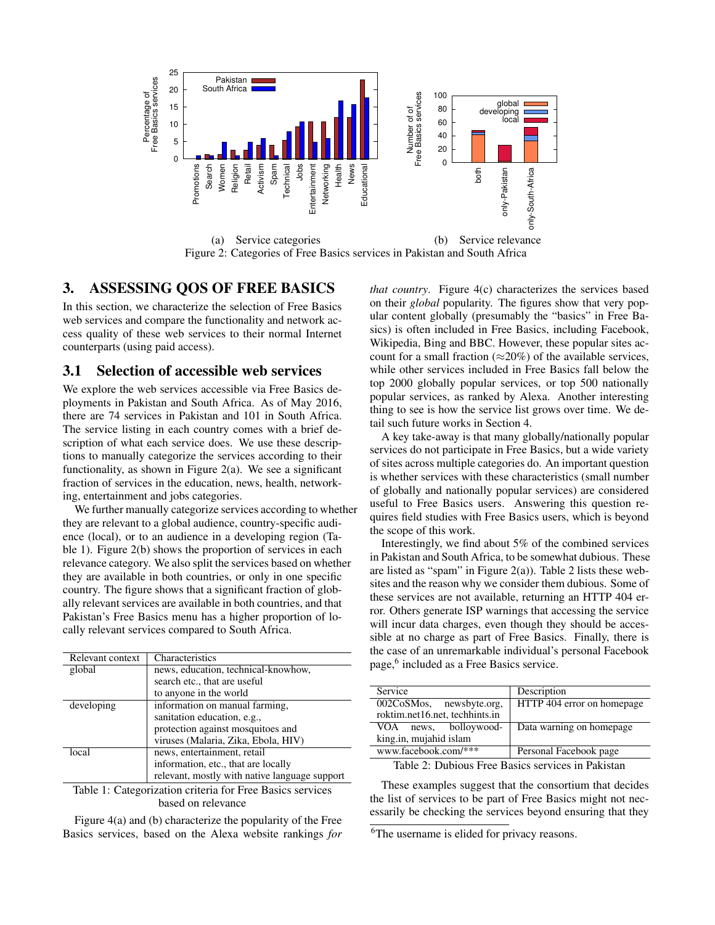

## 3. ASSESSING QOS OF FREE BASICS

In this section, we characterize the selection of Free Basics web services and compare the functionality and network access quality of these web services to their normal Internet counterparts (using paid access).

#### 3.1 Selection of accessible web services

We explore the web services accessible via Free Basics deployments in Pakistan and South Africa. As of May 2016, there are 74 services in Pakistan and 101 in South Africa. The service listing in each country comes with a brief description of what each service does. We use these descriptions to manually categorize the services according to their functionality, as shown in Figure 2(a). We see a significant fraction of services in the education, news, health, networking, entertainment and jobs categories.

We further manually categorize services according to whether they are relevant to a global audience, country-specific audience (local), or to an audience in a developing region (Table 1). Figure 2(b) shows the proportion of services in each relevance category. We also split the services based on whether they are available in both countries, or only in one specific country. The figure shows that a significant fraction of globally relevant services are available in both countries, and that Pakistan's Free Basics menu has a higher proportion of locally relevant services compared to South Africa.

| Relevant context                                        | Characteristics                               |  |
|---------------------------------------------------------|-----------------------------------------------|--|
| global                                                  | news, education, technical-knowhow,           |  |
|                                                         | search etc., that are useful                  |  |
|                                                         | to anyone in the world                        |  |
| developing                                              | information on manual farming,                |  |
|                                                         | sanitation education, e.g.,                   |  |
|                                                         | protection against mosquitoes and             |  |
|                                                         | viruses (Malaria, Zika, Ebola, HIV)           |  |
| local                                                   | news, entertainment, retail                   |  |
|                                                         | information, etc., that are locally           |  |
|                                                         | relevant, mostly with native language support |  |
| Table 1. Catagorization outario for Free Decise compose |                                               |  |

Table 1: Categorization criteria for Free Basics services based on relevance

Figure 4(a) and (b) characterize the popularity of the Free Basics services, based on the Alexa website rankings *for* *that country*. Figure 4(c) characterizes the services based on their *global* popularity. The figures show that very popular content globally (presumably the "basics" in Free Basics) is often included in Free Basics, including Facebook, Wikipedia, Bing and BBC. However, these popular sites account for a small fraction ( $\approx$ 20%) of the available services, while other services included in Free Basics fall below the top 2000 globally popular services, or top 500 nationally popular services, as ranked by Alexa. Another interesting thing to see is how the service list grows over time. We detail such future works in Section 4.

A key take-away is that many globally/nationally popular services do not participate in Free Basics, but a wide variety of sites across multiple categories do. An important question is whether services with these characteristics (small number of globally and nationally popular services) are considered useful to Free Basics users. Answering this question requires field studies with Free Basics users, which is beyond the scope of this work.

Interestingly, we find about 5% of the combined services in Pakistan and South Africa, to be somewhat dubious. These are listed as "spam" in Figure 2(a)). Table 2 lists these websites and the reason why we consider them dubious. Some of these services are not available, returning an HTTP 404 error. Others generate ISP warnings that accessing the service will incur data charges, even though they should be accessible at no charge as part of Free Basics. Finally, there is the case of an unremarkable individual's personal Facebook page,<sup>6</sup> included as a Free Basics service.

| Service                                                             | Description                |  |  |  |
|---------------------------------------------------------------------|----------------------------|--|--|--|
| 002CoSMos, newsbyte.org,                                            | HTTP 404 error on homepage |  |  |  |
| roktim.net16.net, techhints.in                                      |                            |  |  |  |
| VOA news, bolloywood-                                               | Data warning on homepage   |  |  |  |
| king.in, mujahid islam                                              |                            |  |  |  |
| www.facebook.com/***                                                | Personal Facebook page     |  |  |  |
| $T2112$ $\Delta$ . Distribution $Tmax$ Distribution in Distribution |                            |  |  |  |

Table 2: Dubious Free Basics services in Pakistan

These examples suggest that the consortium that decides the list of services to be part of Free Basics might not necessarily be checking the services beyond ensuring that they

<sup>6</sup>The username is elided for privacy reasons.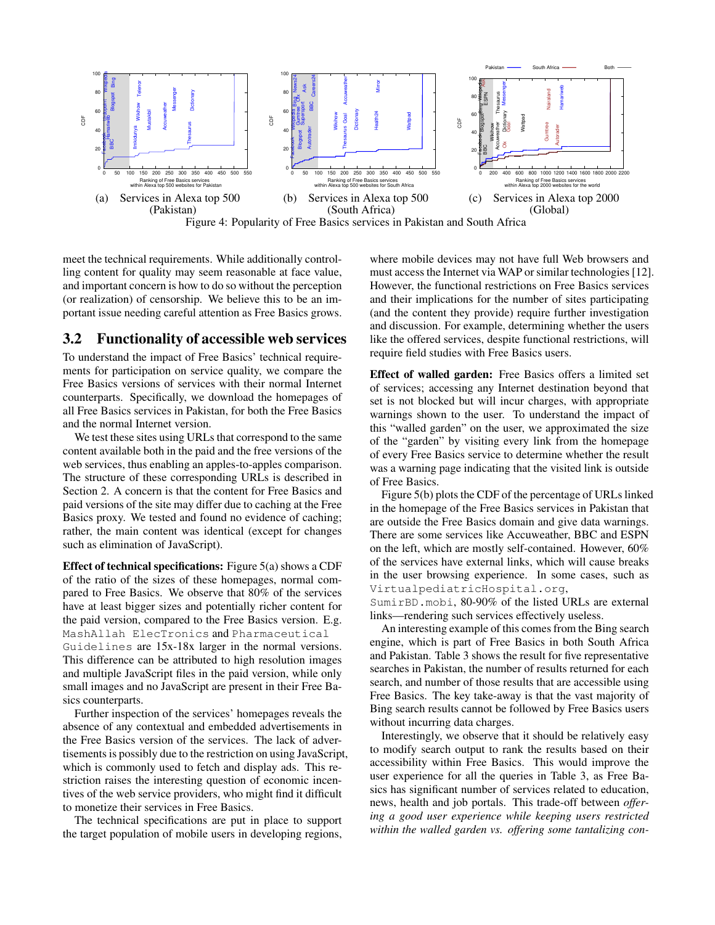

meet the technical requirements. While additionally controlling content for quality may seem reasonable at face value, and important concern is how to do so without the perception (or realization) of censorship. We believe this to be an important issue needing careful attention as Free Basics grows.

#### 3.2 Functionality of accessible web services

To understand the impact of Free Basics' technical requirements for participation on service quality, we compare the Free Basics versions of services with their normal Internet counterparts. Specifically, we download the homepages of all Free Basics services in Pakistan, for both the Free Basics and the normal Internet version.

We test these sites using URLs that correspond to the same content available both in the paid and the free versions of the web services, thus enabling an apples-to-apples comparison. The structure of these corresponding URLs is described in Section 2. A concern is that the content for Free Basics and paid versions of the site may differ due to caching at the Free Basics proxy. We tested and found no evidence of caching; rather, the main content was identical (except for changes such as elimination of JavaScript).

Effect of technical specifications: Figure 5(a) shows a CDF of the ratio of the sizes of these homepages, normal compared to Free Basics. We observe that 80% of the services have at least bigger sizes and potentially richer content for the paid version, compared to the Free Basics version. E.g. MashAllah ElecTronics and Pharmaceutical Guidelines are 15x-18x larger in the normal versions.

This difference can be attributed to high resolution images and multiple JavaScript files in the paid version, while only small images and no JavaScript are present in their Free Basics counterparts.

Further inspection of the services' homepages reveals the absence of any contextual and embedded advertisements in the Free Basics version of the services. The lack of advertisements is possibly due to the restriction on using JavaScript, which is commonly used to fetch and display ads. This restriction raises the interesting question of economic incentives of the web service providers, who might find it difficult to monetize their services in Free Basics.

The technical specifications are put in place to support the target population of mobile users in developing regions,

where mobile devices may not have full Web browsers and must access the Internet via WAP or similar technologies [12]. However, the functional restrictions on Free Basics services and their implications for the number of sites participating (and the content they provide) require further investigation and discussion. For example, determining whether the users like the offered services, despite functional restrictions, will require field studies with Free Basics users.

Effect of walled garden: Free Basics offers a limited set of services; accessing any Internet destination beyond that set is not blocked but will incur charges, with appropriate warnings shown to the user. To understand the impact of this "walled garden" on the user, we approximated the size of the "garden" by visiting every link from the homepage of every Free Basics service to determine whether the result was a warning page indicating that the visited link is outside of Free Basics.

Figure 5(b) plots the CDF of the percentage of URLs linked in the homepage of the Free Basics services in Pakistan that are outside the Free Basics domain and give data warnings. There are some services like Accuweather, BBC and ESPN on the left, which are mostly self-contained. However, 60% of the services have external links, which will cause breaks in the user browsing experience. In some cases, such as VirtualpediatricHospital.org,

SumirBD.mobi, 80-90% of the listed URLs are external links—rendering such services effectively useless.

An interesting example of this comes from the Bing search engine, which is part of Free Basics in both South Africa and Pakistan. Table 3 shows the result for five representative searches in Pakistan, the number of results returned for each search, and number of those results that are accessible using Free Basics. The key take-away is that the vast majority of Bing search results cannot be followed by Free Basics users without incurring data charges.

Interestingly, we observe that it should be relatively easy to modify search output to rank the results based on their accessibility within Free Basics. This would improve the user experience for all the queries in Table 3, as Free Basics has significant number of services related to education, news, health and job portals. This trade-off between *offering a good user experience while keeping users restricted within the walled garden vs. offering some tantalizing con-*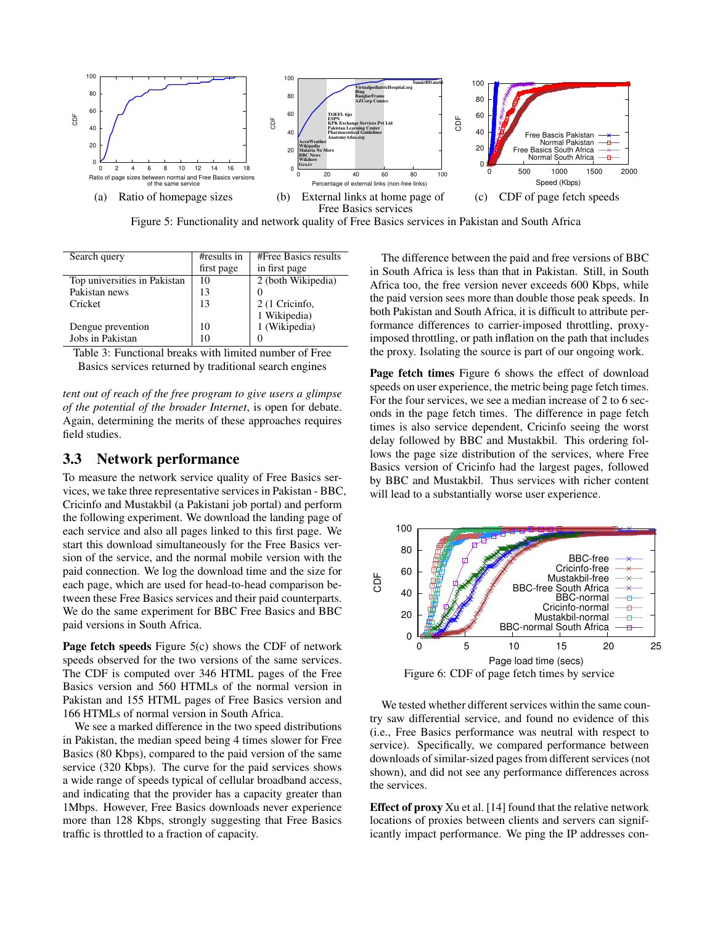

Figure 5: Functionality and network quality of Free Basics services in Pakistan and South Africa

| Search query                 | #results in | #Free Basics results |  |
|------------------------------|-------------|----------------------|--|
|                              | first page  | in first page        |  |
| Top universities in Pakistan | 10          | 2 (both Wikipedia)   |  |
| Pakistan news                | 13          |                      |  |
| Cricket                      | 13          | 2 (1 Cricinfo,       |  |
|                              |             | 1 Wikipedia)         |  |
| Dengue prevention            | 10          | 1 (Wikipedia)        |  |
| Jobs in Pakistan             |             |                      |  |

Table 3: Functional breaks with limited number of Free Basics services returned by traditional search engines

*tent out of reach of the free program to give users a glimpse of the potential of the broader Internet*, is open for debate. Again, determining the merits of these approaches requires field studies.

#### 3.3 Network performance

To measure the network service quality of Free Basics services, we take three representative services in Pakistan - BBC, Cricinfo and Mustakbil (a Pakistani job portal) and perform the following experiment. We download the landing page of each service and also all pages linked to this first page. We start this download simultaneously for the Free Basics version of the service, and the normal mobile version with the paid connection. We log the download time and the size for each page, which are used for head-to-head comparison between these Free Basics services and their paid counterparts. We do the same experiment for BBC Free Basics and BBC paid versions in South Africa.

Page fetch speeds Figure 5(c) shows the CDF of network speeds observed for the two versions of the same services. The CDF is computed over 346 HTML pages of the Free Basics version and 560 HTMLs of the normal version in Pakistan and 155 HTML pages of Free Basics version and 166 HTMLs of normal version in South Africa.

We see a marked difference in the two speed distributions in Pakistan, the median speed being 4 times slower for Free Basics (80 Kbps), compared to the paid version of the same service (320 Kbps). The curve for the paid services shows a wide range of speeds typical of cellular broadband access, and indicating that the provider has a capacity greater than 1Mbps. However, Free Basics downloads never experience more than 128 Kbps, strongly suggesting that Free Basics traffic is throttled to a fraction of capacity.

The difference between the paid and free versions of BBC in South Africa is less than that in Pakistan. Still, in South Africa too, the free version never exceeds 600 Kbps, while the paid version sees more than double those peak speeds. In both Pakistan and South Africa, it is difficult to attribute performance differences to carrier-imposed throttling, proxyimposed throttling, or path inflation on the path that includes the proxy. Isolating the source is part of our ongoing work.

Page fetch times Figure 6 shows the effect of download speeds on user experience, the metric being page fetch times. For the four services, we see a median increase of 2 to 6 seconds in the page fetch times. The difference in page fetch times is also service dependent, Cricinfo seeing the worst delay followed by BBC and Mustakbil. This ordering follows the page size distribution of the services, where Free Basics version of Cricinfo had the largest pages, followed by BBC and Mustakbil. Thus services with richer content will lead to a substantially worse user experience.



We tested whether different services within the same country saw differential service, and found no evidence of this (i.e., Free Basics performance was neutral with respect to service). Specifically, we compared performance between downloads of similar-sized pages from different services (not shown), and did not see any performance differences across the services.

Effect of proxy Xu et al. [14] found that the relative network locations of proxies between clients and servers can significantly impact performance. We ping the IP addresses con-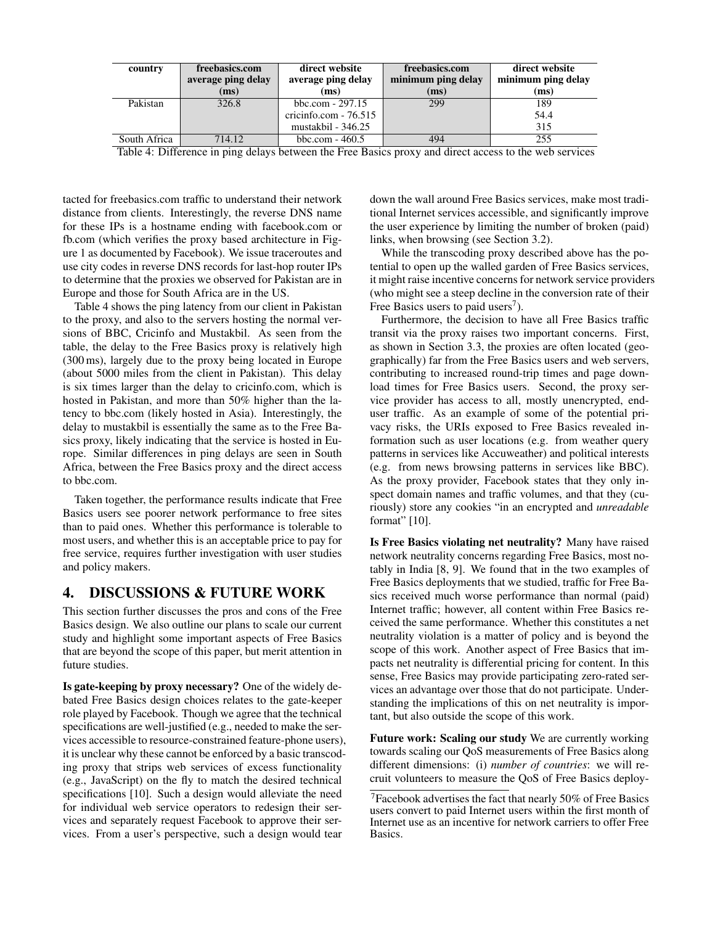| country      | freebasics.com<br>average ping delay<br>(ms) | direct website<br>average ping delay<br>(ms) | freebasics.com<br>minimum ping delay<br>(ms) | direct website<br>minimum ping delay<br>(ms) |
|--------------|----------------------------------------------|----------------------------------------------|----------------------------------------------|----------------------------------------------|
| Pakistan     | 326.8                                        | bbc.com $-297.15$                            | 299                                          | 189                                          |
|              |                                              | cricinfo.com $-76.515$                       |                                              | 54.4                                         |
|              |                                              | mustakbil - 346.25                           |                                              | 315                                          |
| South Africa | 714.12                                       | bbc.com $-460.5$                             | 494                                          | 255                                          |

Table 4: Difference in ping delays between the Free Basics proxy and direct access to the web services

tacted for freebasics.com traffic to understand their network distance from clients. Interestingly, the reverse DNS name for these IPs is a hostname ending with facebook.com or fb.com (which verifies the proxy based architecture in Figure 1 as documented by Facebook). We issue traceroutes and use city codes in reverse DNS records for last-hop router IPs to determine that the proxies we observed for Pakistan are in Europe and those for South Africa are in the US.

Table 4 shows the ping latency from our client in Pakistan to the proxy, and also to the servers hosting the normal versions of BBC, Cricinfo and Mustakbil. As seen from the table, the delay to the Free Basics proxy is relatively high (300 ms), largely due to the proxy being located in Europe (about 5000 miles from the client in Pakistan). This delay is six times larger than the delay to cricinfo.com, which is hosted in Pakistan, and more than 50% higher than the latency to bbc.com (likely hosted in Asia). Interestingly, the delay to mustakbil is essentially the same as to the Free Basics proxy, likely indicating that the service is hosted in Europe. Similar differences in ping delays are seen in South Africa, between the Free Basics proxy and the direct access to bbc.com.

Taken together, the performance results indicate that Free Basics users see poorer network performance to free sites than to paid ones. Whether this performance is tolerable to most users, and whether this is an acceptable price to pay for free service, requires further investigation with user studies and policy makers.

## 4. DISCUSSIONS & FUTURE WORK

This section further discusses the pros and cons of the Free Basics design. We also outline our plans to scale our current study and highlight some important aspects of Free Basics that are beyond the scope of this paper, but merit attention in future studies.

Is gate-keeping by proxy necessary? One of the widely debated Free Basics design choices relates to the gate-keeper role played by Facebook. Though we agree that the technical specifications are well-justified (e.g., needed to make the services accessible to resource-constrained feature-phone users), it is unclear why these cannot be enforced by a basic transcoding proxy that strips web services of excess functionality (e.g., JavaScript) on the fly to match the desired technical specifications [10]. Such a design would alleviate the need for individual web service operators to redesign their services and separately request Facebook to approve their services. From a user's perspective, such a design would tear

down the wall around Free Basics services, make most traditional Internet services accessible, and significantly improve the user experience by limiting the number of broken (paid) links, when browsing (see Section 3.2).

While the transcoding proxy described above has the potential to open up the walled garden of Free Basics services, it might raise incentive concerns for network service providers (who might see a steep decline in the conversion rate of their Free Basics users to paid users<sup>7</sup>).

Furthermore, the decision to have all Free Basics traffic transit via the proxy raises two important concerns. First, as shown in Section 3.3, the proxies are often located (geographically) far from the Free Basics users and web servers, contributing to increased round-trip times and page download times for Free Basics users. Second, the proxy service provider has access to all, mostly unencrypted, enduser traffic. As an example of some of the potential privacy risks, the URIs exposed to Free Basics revealed information such as user locations (e.g. from weather query patterns in services like Accuweather) and political interests (e.g. from news browsing patterns in services like BBC). As the proxy provider, Facebook states that they only inspect domain names and traffic volumes, and that they (curiously) store any cookies "in an encrypted and *unreadable* format" [10].

Is Free Basics violating net neutrality? Many have raised network neutrality concerns regarding Free Basics, most notably in India [8, 9]. We found that in the two examples of Free Basics deployments that we studied, traffic for Free Basics received much worse performance than normal (paid) Internet traffic; however, all content within Free Basics received the same performance. Whether this constitutes a net neutrality violation is a matter of policy and is beyond the scope of this work. Another aspect of Free Basics that impacts net neutrality is differential pricing for content. In this sense, Free Basics may provide participating zero-rated services an advantage over those that do not participate. Understanding the implications of this on net neutrality is important, but also outside the scope of this work.

Future work: Scaling our study We are currently working towards scaling our QoS measurements of Free Basics along different dimensions: (i) *number of countries*: we will recruit volunteers to measure the QoS of Free Basics deploy-

 $7$ Facebook advertises the fact that nearly 50% of Free Basics users convert to paid Internet users within the first month of Internet use as an incentive for network carriers to offer Free **Basics**